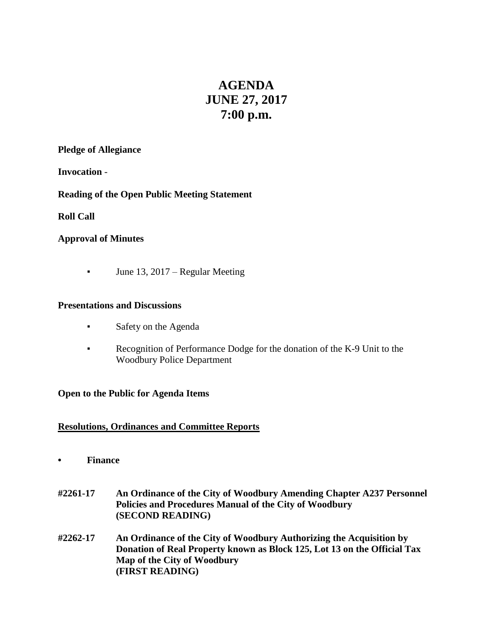# **AGENDA JUNE 27, 2017 7:00 p.m.**

#### **Pledge of Allegiance**

**Invocation** -

## **Reading of the Open Public Meeting Statement**

**Roll Call**

## **Approval of Minutes**

**•** June 13, 2017 – Regular Meeting

## **Presentations and Discussions**

- Safety on the Agenda
- Recognition of Performance Dodge for the donation of the K-9 Unit to the Woodbury Police Department

## **Open to the Public for Agenda Items**

## **Resolutions, Ordinances and Committee Reports**

- **• Finance**
- **#2261-17 An Ordinance of the City of Woodbury Amending Chapter A237 Personnel Policies and Procedures Manual of the City of Woodbury (SECOND READING)**
- **#2262-17 An Ordinance of the City of Woodbury Authorizing the Acquisition by Donation of Real Property known as Block 125, Lot 13 on the Official Tax Map of the City of Woodbury (FIRST READING)**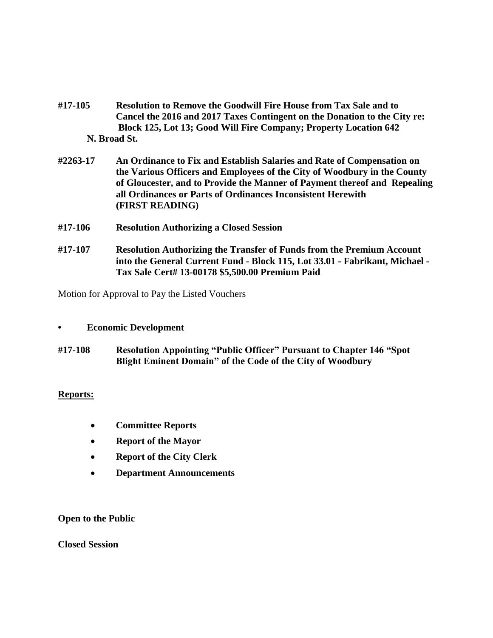- **#17-105 Resolution to Remove the Goodwill Fire House from Tax Sale and to Cancel the 2016 and 2017 Taxes Contingent on the Donation to the City re: Block 125, Lot 13; Good Will Fire Company; Property Location 642 N. Broad St.**
- **#2263-17 An Ordinance to Fix and Establish Salaries and Rate of Compensation on the Various Officers and Employees of the City of Woodbury in the County of Gloucester, and to Provide the Manner of Payment thereof and Repealing all Ordinances or Parts of Ordinances Inconsistent Herewith (FIRST READING)**
- **#17-106 Resolution Authorizing a Closed Session**
- **#17-107 Resolution Authorizing the Transfer of Funds from the Premium Account into the General Current Fund - Block 115, Lot 33.01 - Fabrikant, Michael - Tax Sale Cert# 13-00178 \$5,500.00 Premium Paid**

Motion for Approval to Pay the Listed Vouchers

#### **• Economic Development**

**#17-108 Resolution Appointing "Public Officer" Pursuant to Chapter 146 "Spot Blight Eminent Domain" of the Code of the City of Woodbury**

#### **Reports:**

- **Committee Reports**
- **Report of the Mayor**
- **Report of the City Clerk**
- **Department Announcements**

**Open to the Public**

**Closed Session**